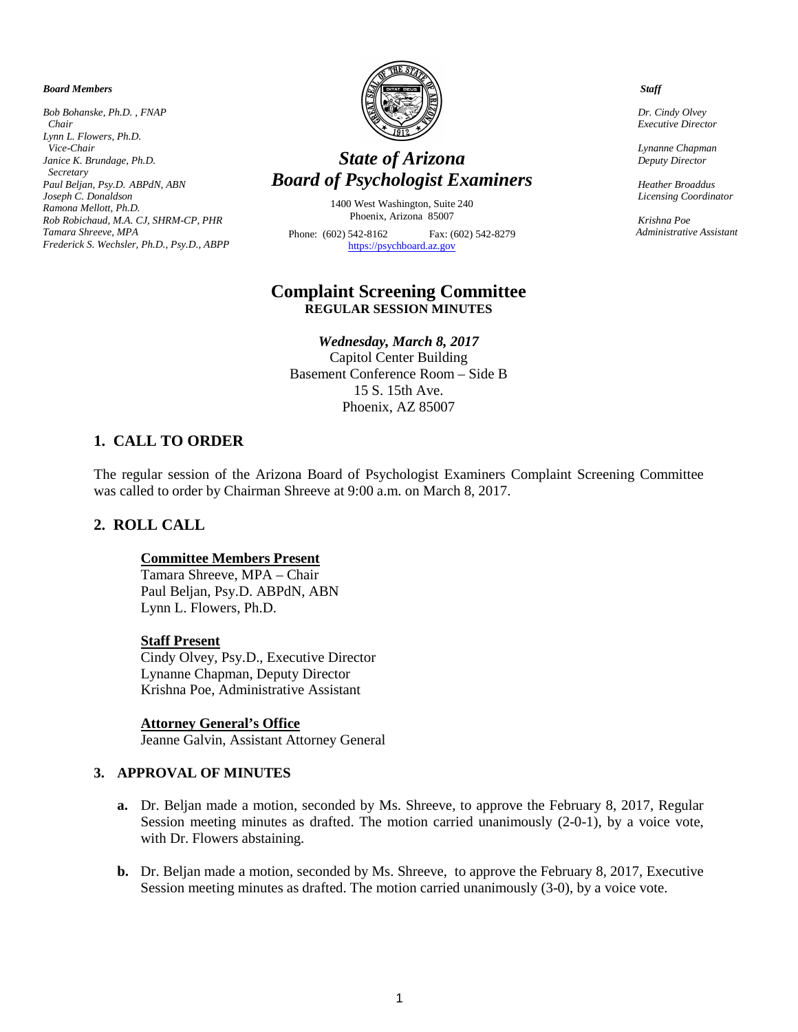#### *Board Members*

*Bob Bohanske, Ph.D. , FNAP Chair Lynn L. Flowers, Ph.D. Vice-Chair Janice K. Brundage, Ph.D. Secretary Paul Beljan, Psy.D. ABPdN, ABN Joseph C. Donaldson Ramona Mellott, Ph.D. Rob Robichaud, M.A. CJ, SHRM-CP, PHR Tamara Shreeve, MPA Frederick S. Wechsler, Ph.D., Psy.D., ABPP*



# *State of Arizona Board of Psychologist Examiners*

1400 West Washington, Suite 240 Phoenix, Arizona 85007 Phone: (602) 542-8162 Fax: (602) 542-8279 [https://psychboard.az.gov](https://psychboard.az.gov/) 

# **Complaint Screening Committee REGULAR SESSION MINUTES**

# *Wednesday, March 8, 2017*

Capitol Center Building Basement Conference Room – Side B 15 S. 15th Ave. Phoenix, AZ 85007

# **1. CALL TO ORDER**

The regular session of the Arizona Board of Psychologist Examiners Complaint Screening Committee was called to order by Chairman Shreeve at 9:00 a.m. on March 8, 2017.

# **2. ROLL CALL**

### **Committee Members Present**

Tamara Shreeve, MPA – Chair Paul Beljan, Psy.D. ABPdN, ABN Lynn L. Flowers, Ph.D.

### **Staff Present**

Cindy Olvey, Psy.D., Executive Director Lynanne Chapman, Deputy Director Krishna Poe, Administrative Assistant

### **Attorney General's Office**

Jeanne Galvin, Assistant Attorney General

### **3. APPROVAL OF MINUTES**

- **a.** Dr. Beljan made a motion, seconded by Ms. Shreeve, to approve the February 8, 2017, Regular Session meeting minutes as drafted. The motion carried unanimously (2-0-1), by a voice vote, with Dr. Flowers abstaining.
- **b.** Dr. Beljan made a motion, seconded by Ms. Shreeve, to approve the February 8, 2017, Executive Session meeting minutes as drafted. The motion carried unanimously (3-0), by a voice vote.

#### *Staff*

 *Dr. Cindy Olvey Executive Director*

 *Lynanne Chapman Deputy Director*

 *Heather Broaddus Licensing Coordinator* 

 *Krishna Poe Administrative Assistant*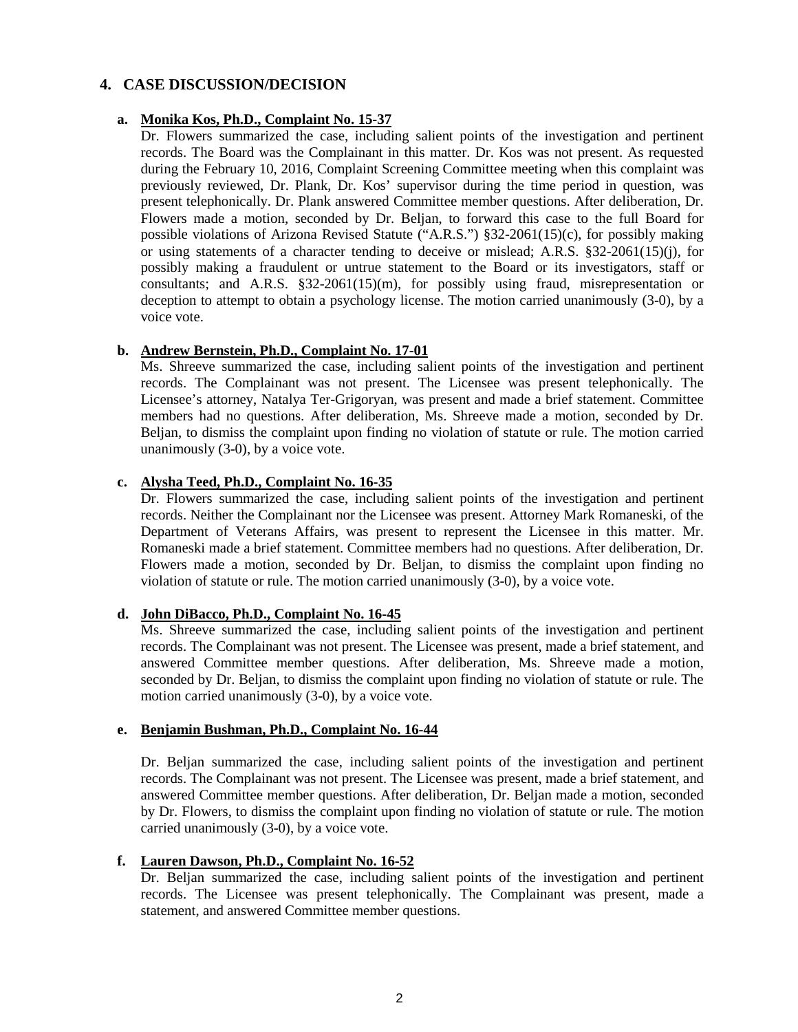# **4. CASE DISCUSSION/DECISION**

### **a. Monika Kos, Ph.D., Complaint No. 15-37**

Dr. Flowers summarized the case, including salient points of the investigation and pertinent records. The Board was the Complainant in this matter. Dr. Kos was not present. As requested during the February 10, 2016, Complaint Screening Committee meeting when this complaint was previously reviewed, Dr. Plank, Dr. Kos' supervisor during the time period in question, was present telephonically. Dr. Plank answered Committee member questions. After deliberation, Dr. Flowers made a motion, seconded by Dr. Beljan, to forward this case to the full Board for possible violations of Arizona Revised Statute ("A.R.S.") §32-2061(15)(c), for possibly making or using statements of a character tending to deceive or mislead; A.R.S. §32-2061(15)(j), for possibly making a fraudulent or untrue statement to the Board or its investigators, staff or consultants; and A.R.S. §32-2061(15)(m), for possibly using fraud, misrepresentation or deception to attempt to obtain a psychology license. The motion carried unanimously (3-0), by a voice vote.

# **b. Andrew Bernstein, Ph.D., Complaint No. 17-01**

Ms. Shreeve summarized the case, including salient points of the investigation and pertinent records. The Complainant was not present. The Licensee was present telephonically. The Licensee's attorney, Natalya Ter-Grigoryan, was present and made a brief statement. Committee members had no questions. After deliberation, Ms. Shreeve made a motion, seconded by Dr. Beljan, to dismiss the complaint upon finding no violation of statute or rule. The motion carried unanimously (3-0), by a voice vote.

# **c. Alysha Teed, Ph.D., Complaint No. 16-35**

Dr. Flowers summarized the case, including salient points of the investigation and pertinent records. Neither the Complainant nor the Licensee was present. Attorney Mark Romaneski, of the Department of Veterans Affairs, was present to represent the Licensee in this matter. Mr. Romaneski made a brief statement. Committee members had no questions. After deliberation, Dr. Flowers made a motion, seconded by Dr. Beljan, to dismiss the complaint upon finding no violation of statute or rule. The motion carried unanimously (3-0), by a voice vote.

### **d. John DiBacco, Ph.D., Complaint No. 16-45**

Ms. Shreeve summarized the case, including salient points of the investigation and pertinent records. The Complainant was not present. The Licensee was present, made a brief statement, and answered Committee member questions. After deliberation, Ms. Shreeve made a motion, seconded by Dr. Beljan, to dismiss the complaint upon finding no violation of statute or rule. The motion carried unanimously (3-0), by a voice vote.

### **e. Benjamin Bushman, Ph.D., Complaint No. 16-44**

Dr. Beljan summarized the case, including salient points of the investigation and pertinent records. The Complainant was not present. The Licensee was present, made a brief statement, and answered Committee member questions. After deliberation, Dr. Beljan made a motion, seconded by Dr. Flowers, to dismiss the complaint upon finding no violation of statute or rule. The motion carried unanimously (3-0), by a voice vote.

# **f. Lauren Dawson, Ph.D., Complaint No. 16-52**

Dr. Beljan summarized the case, including salient points of the investigation and pertinent records. The Licensee was present telephonically. The Complainant was present, made a statement, and answered Committee member questions.